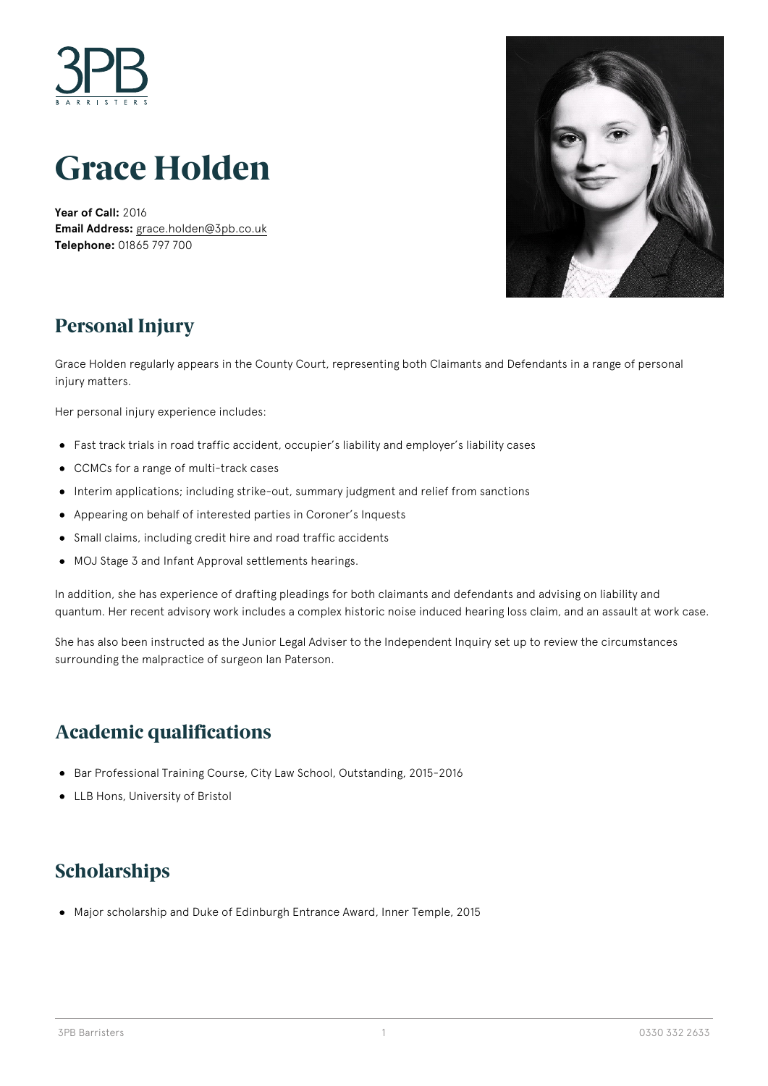

# **Grace Holden**

**Year of Call:** 2016 **Email Address:** [grace.holden@3pb.co.uk](mailto:grace.holden@3pb.co.uk) **Telephone:** 01865 797 700



#### **Personal Injury**

Grace Holden regularly appears in the County Court, representing both Claimants and Defendants in a range of personal injury matters.

Her personal injury experience includes:

- Fast track trials in road traffic accident, occupier's liability and employer's liability cases
- CCMCs for a range of multi-track cases
- Interim applications; including strike-out, summary judgment and relief from sanctions
- Appearing on behalf of interested parties in Coroner's Inquests
- Small claims, including credit hire and road traffic accidents  $\bullet$
- $\bullet$ MOJ Stage 3 and Infant Approval settlements hearings.

In addition, she has experience of drafting pleadings for both claimants and defendants and advising on liability and quantum. Her recent advisory work includes a complex historic noise induced hearing loss claim, and an assault at work case.

She has also been instructed as the Junior Legal Adviser to the Independent Inquiry set up to review the circumstances surrounding the malpractice of surgeon Ian Paterson.

#### **Academic qualifications**

- Bar Professional Training Course, City Law School, Outstanding, 2015-2016
- LLB Hons, University of Bristol

#### **Scholarships**

Major scholarship and Duke of Edinburgh Entrance Award, Inner Temple, 2015